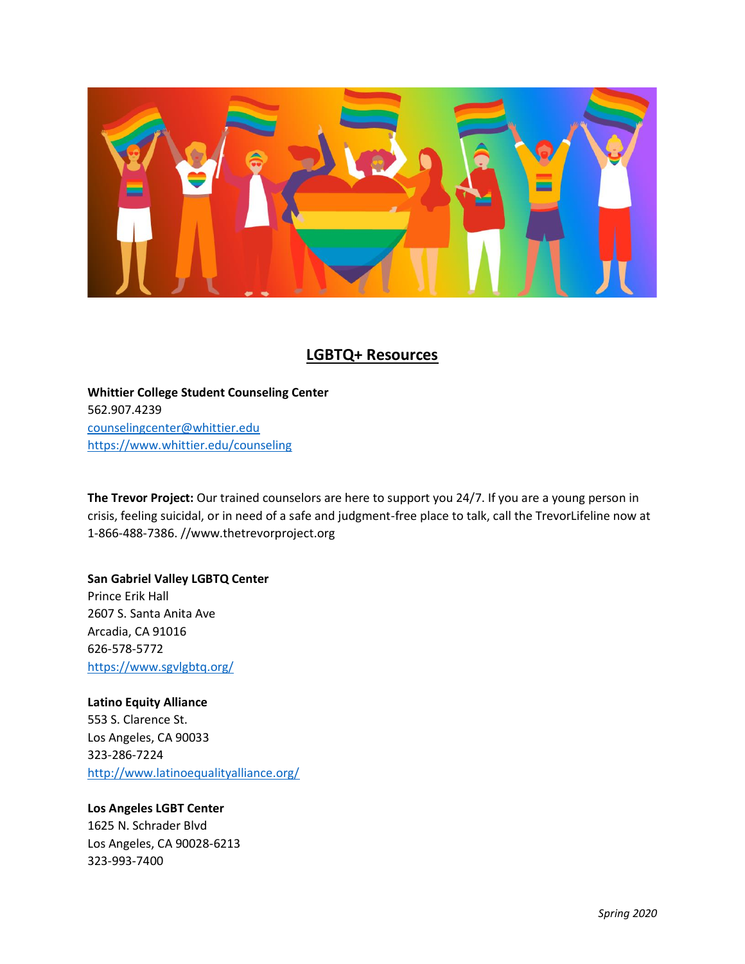

## **LGBTQ+ Resources**

**Whittier College Student Counseling Center** 562.907.4239 [counselingcenter@whittier.edu](mailto:counselingcenter@whittier.edu) <https://www.whittier.edu/counseling>

**The Trevor Project:** Our trained counselors are here to support you 24/7. If you are a young person in crisis, feeling suicidal, or in need of a safe and judgment-free place to talk, call the TrevorLifeline now at 1-866-488-7386. //www.thetrevorproject.org

**San Gabriel Valley LGBTQ Center** Prince Erik Hall 2607 S. Santa Anita Ave Arcadia, CA 91016 626-578-5772 <https://www.sgvlgbtq.org/>

**Latino Equity Alliance** 553 S. Clarence St. Los Angeles, CA 90033 323-286-7224 <http://www.latinoequalityalliance.org/>

## **Los Angeles LGBT Center**

1625 N. Schrader Blvd Los Angeles, CA 90028-6213 323-993-7400